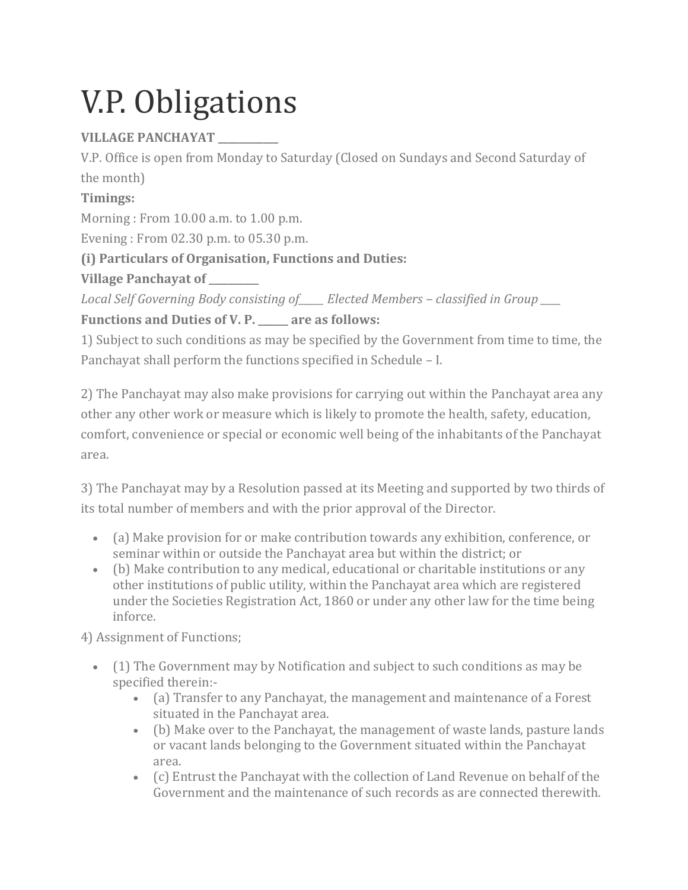# V.P. Obligations

# **VILLAGE PANCHAYAT \_\_\_\_\_\_\_\_\_\_\_\_**

V.P. Office is open from Monday to Saturday (Closed on Sundays and Second Saturday of the month)

**Timings:**

Morning : From 10.00 a.m. to 1.00 p.m.

Evening : From 02.30 p.m. to 05.30 p.m.

# **(i) Particulars of Organisation, Functions and Duties:**

**Village Panchayat of \_\_\_\_\_\_\_\_\_\_**

*Local Self Governing Body consisting of\_\_\_\_\_ Elected Members – classified in Group \_\_\_\_* **Functions and Duties of V. P. \_\_\_\_\_\_ are as follows:**

1) Subject to such conditions as may be specified by the Government from time to time, the Panchayat shall perform the functions specified in Schedule – I.

2) The Panchayat may also make provisions for carrying out within the Panchayat area any other any other work or measure which is likely to promote the health, safety, education, comfort, convenience or special or economic well being of the inhabitants of the Panchayat area.

3) The Panchayat may by a Resolution passed at its Meeting and supported by two thirds of its total number of members and with the prior approval of the Director.

- (a) Make provision for or make contribution towards any exhibition, conference, or seminar within or outside the Panchayat area but within the district; or
- (b) Make contribution to any medical, educational or charitable institutions or any other institutions of public utility, within the Panchayat area which are registered under the Societies Registration Act, 1860 or under any other law for the time being inforce.

4) Assignment of Functions;

- (1) The Government may by Notification and subject to such conditions as may be specified therein:-
	- (a) Transfer to any Panchayat, the management and maintenance of a Forest situated in the Panchayat area.
	- (b) Make over to the Panchayat, the management of waste lands, pasture lands or vacant lands belonging to the Government situated within the Panchayat area.
	- (c) Entrust the Panchayat with the collection of Land Revenue on behalf of the Government and the maintenance of such records as are connected therewith.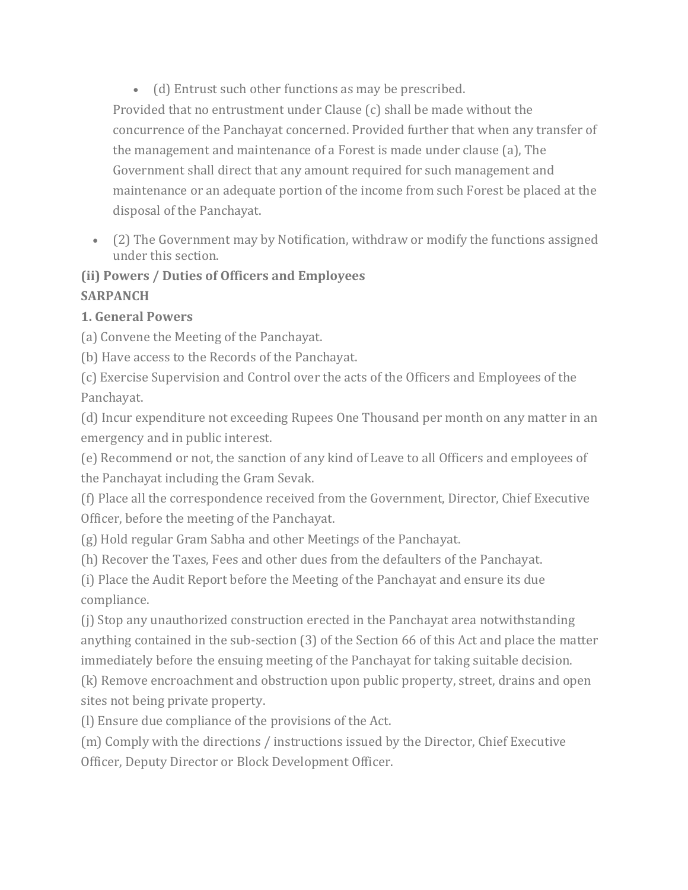• (d) Entrust such other functions as may be prescribed.

Provided that no entrustment under Clause (c) shall be made without the concurrence of the Panchayat concerned. Provided further that when any transfer of the management and maintenance of a Forest is made under clause (a), The Government shall direct that any amount required for such management and maintenance or an adequate portion of the income from such Forest be placed at the disposal of the Panchayat.

• (2) The Government may by Notification, withdraw or modify the functions assigned under this section.

#### **(ii) Powers / Duties of Officers and Employees SARPANCH**

# **1. General Powers**

(a) Convene the Meeting of the Panchayat.

(b) Have access to the Records of the Panchayat.

(c) Exercise Supervision and Control over the acts of the Officers and Employees of the Panchayat.

(d) Incur expenditure not exceeding Rupees One Thousand per month on any matter in an emergency and in public interest.

(e) Recommend or not, the sanction of any kind of Leave to all Officers and employees of the Panchayat including the Gram Sevak.

(f) Place all the correspondence received from the Government, Director, Chief Executive Officer, before the meeting of the Panchayat.

(g) Hold regular Gram Sabha and other Meetings of the Panchayat.

(h) Recover the Taxes, Fees and other dues from the defaulters of the Panchayat.

(i) Place the Audit Report before the Meeting of the Panchayat and ensure its due compliance.

(j) Stop any unauthorized construction erected in the Panchayat area notwithstanding anything contained in the sub-section (3) of the Section 66 of this Act and place the matter immediately before the ensuing meeting of the Panchayat for taking suitable decision.

(k) Remove encroachment and obstruction upon public property, street, drains and open sites not being private property.

(l) Ensure due compliance of the provisions of the Act.

(m) Comply with the directions / instructions issued by the Director, Chief Executive Officer, Deputy Director or Block Development Officer.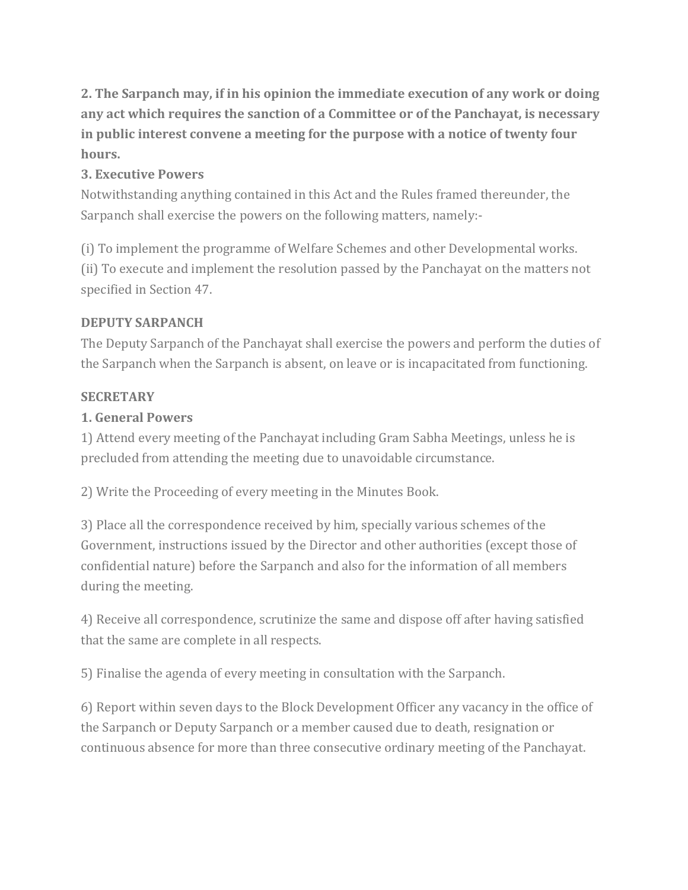**2. The Sarpanch may, if in his opinion the immediate execution of any work or doing any act which requires the sanction of a Committee or of the Panchayat, is necessary in public interest convene a meeting for the purpose with a notice of twenty four hours.**

#### **3. Executive Powers**

Notwithstanding anything contained in this Act and the Rules framed thereunder, the Sarpanch shall exercise the powers on the following matters, namely:-

(i) To implement the programme of Welfare Schemes and other Developmental works. (ii) To execute and implement the resolution passed by the Panchayat on the matters not specified in Section 47.

#### **DEPUTY SARPANCH**

The Deputy Sarpanch of the Panchayat shall exercise the powers and perform the duties of the Sarpanch when the Sarpanch is absent, on leave or is incapacitated from functioning.

#### **SECRETARY**

#### **1. General Powers**

1) Attend every meeting of the Panchayat including Gram Sabha Meetings, unless he is precluded from attending the meeting due to unavoidable circumstance.

2) Write the Proceeding of every meeting in the Minutes Book.

3) Place all the correspondence received by him, specially various schemes of the Government, instructions issued by the Director and other authorities (except those of confidential nature) before the Sarpanch and also for the information of all members during the meeting.

4) Receive all correspondence, scrutinize the same and dispose off after having satisfied that the same are complete in all respects.

5) Finalise the agenda of every meeting in consultation with the Sarpanch.

6) Report within seven days to the Block Development Officer any vacancy in the office of the Sarpanch or Deputy Sarpanch or a member caused due to death, resignation or continuous absence for more than three consecutive ordinary meeting of the Panchayat.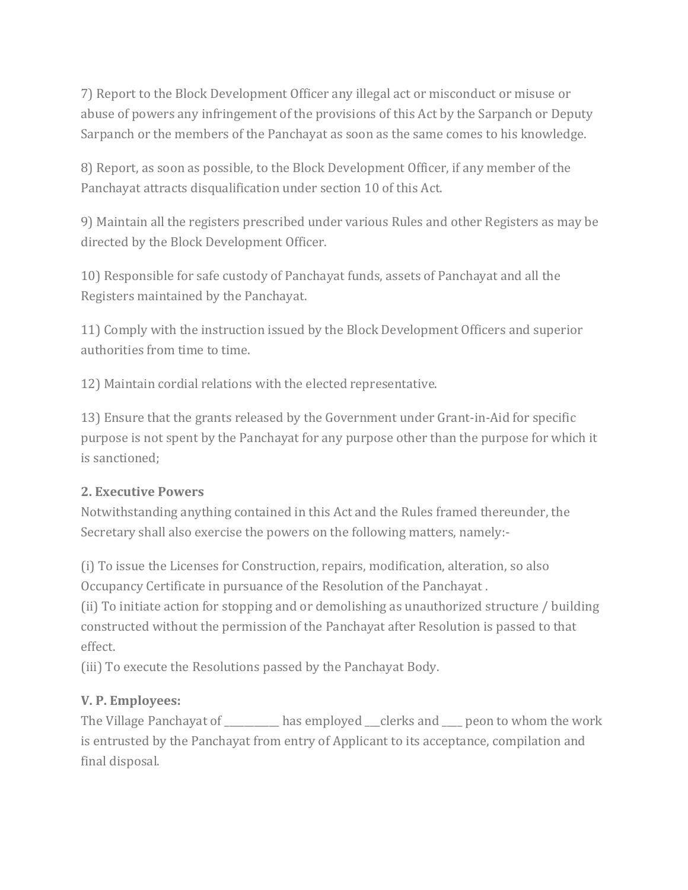7) Report to the Block Development Officer any illegal act or misconduct or misuse or abuse of powers any infringement of the provisions of this Act by the Sarpanch or Deputy Sarpanch or the members of the Panchayat as soon as the same comes to his knowledge.

8) Report, as soon as possible, to the Block Development Officer, if any member of the Panchayat attracts disqualification under section 10 of this Act.

9) Maintain all the registers prescribed under various Rules and other Registers as may be directed by the Block Development Officer.

10) Responsible for safe custody of Panchayat funds, assets of Panchayat and all the Registers maintained by the Panchayat.

11) Comply with the instruction issued by the Block Development Officers and superior authorities from time to time.

12) Maintain cordial relations with the elected representative.

13) Ensure that the grants released by the Government under Grant-in-Aid for specific purpose is not spent by the Panchayat for any purpose other than the purpose for which it is sanctioned;

#### **2. Executive Powers**

Notwithstanding anything contained in this Act and the Rules framed thereunder, the Secretary shall also exercise the powers on the following matters, namely:-

(i) To issue the Licenses for Construction, repairs, modification, alteration, so also Occupancy Certificate in pursuance of the Resolution of the Panchayat .

(ii) To initiate action for stopping and or demolishing as unauthorized structure / building constructed without the permission of the Panchayat after Resolution is passed to that effect.

(iii) To execute the Resolutions passed by the Panchayat Body.

#### **V. P. Employees:**

The Village Panchayat of \_\_\_\_\_\_\_\_\_\_ has employed \_\_\_clerks and \_\_\_\_ peon to whom the work is entrusted by the Panchayat from entry of Applicant to its acceptance, compilation and final disposal.